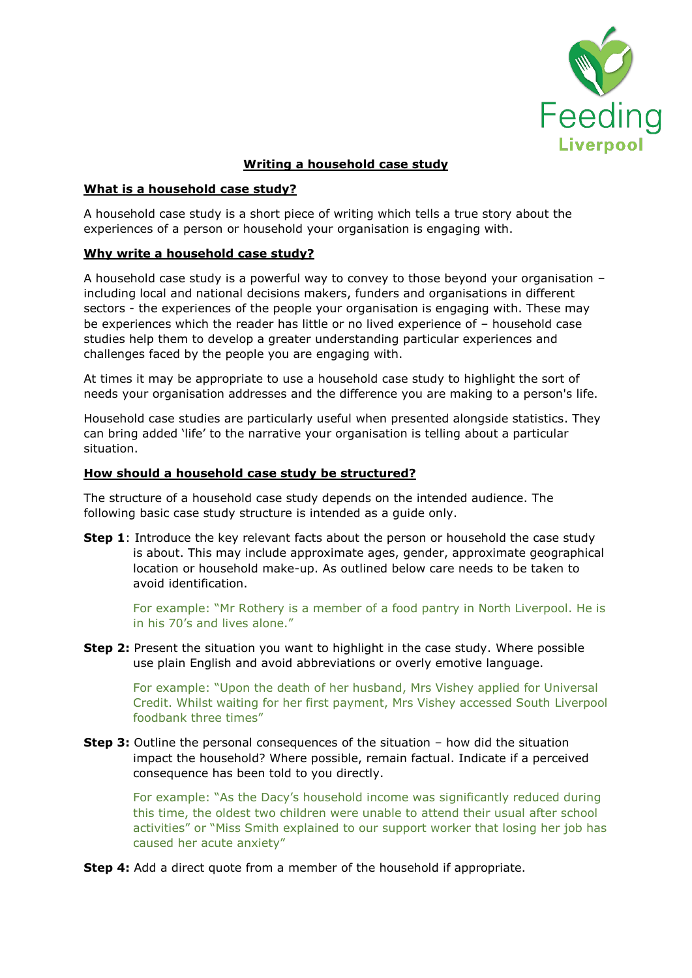

# **Writing a household case study**

# **What is a household case study?**

A household case study is a short piece of writing which tells a true story about the experiences of a person or household your organisation is engaging with.

# **Why write a household case study?**

A household case study is a powerful way to convey to those beyond your organisation – including local and national decisions makers, funders and organisations in different sectors - the experiences of the people your organisation is engaging with. These may be experiences which the reader has little or no lived experience of – household case studies help them to develop a greater understanding particular experiences and challenges faced by the people you are engaging with.

At times it may be appropriate to use a household case study to highlight the sort of needs your organisation addresses and the difference you are making to a person's life.

Household case studies are particularly useful when presented alongside statistics. They can bring added 'life' to the narrative your organisation is telling about a particular situation.

# **How should a household case study be structured?**

The structure of a household case study depends on the intended audience. The following basic case study structure is intended as a guide only.

**Step 1**: Introduce the key relevant facts about the person or household the case study is about. This may include approximate ages, gender, approximate geographical location or household make-up. As outlined below care needs to be taken to avoid identification.

For example: "Mr Rothery is a member of a food pantry in North Liverpool. He is in his 70's and lives alone."

**Step 2:** Present the situation you want to highlight in the case study. Where possible use plain English and avoid abbreviations or overly emotive language.

For example: "Upon the death of her husband, Mrs Vishey applied for Universal Credit. Whilst waiting for her first payment, Mrs Vishey accessed South Liverpool foodbank three times"

**Step 3:** Outline the personal consequences of the situation – how did the situation impact the household? Where possible, remain factual. Indicate if a perceived consequence has been told to you directly.

For example: "As the Dacy's household income was significantly reduced during this time, the oldest two children were unable to attend their usual after school activities" or "Miss Smith explained to our support worker that losing her job has caused her acute anxiety"

**Step 4:** Add a direct quote from a member of the household if appropriate.